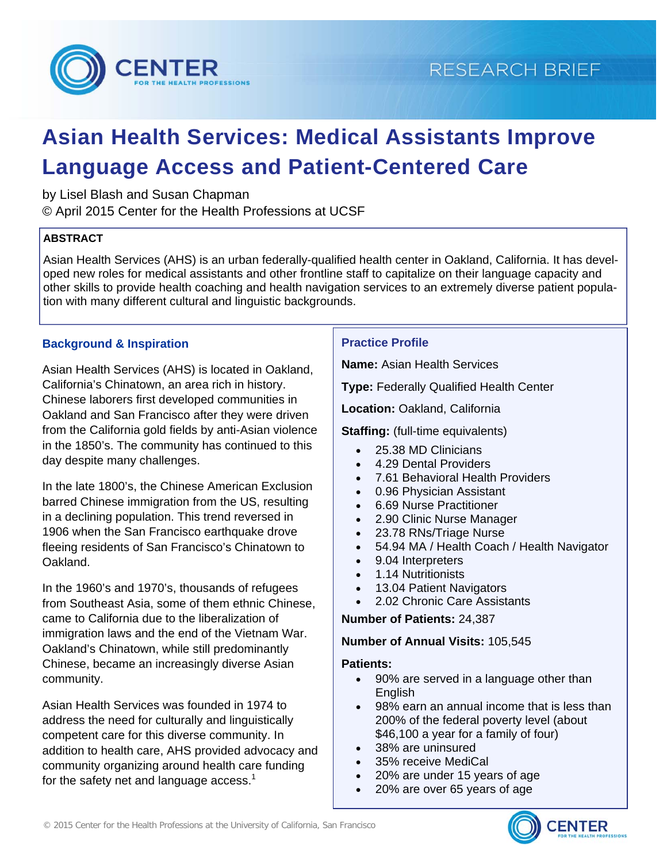

# **Asian Health Services: Medical Assistants Improve Language Access and Patient-Centered Care**

by Lisel Blash and Susan Chapman

© April 2015 Center for the Health Professions at UCSF

#### **ABSTRACT**

Asian Health Services (AHS) is an urban federally-qualified health center in Oakland, California. It has developed new roles for medical assistants and other frontline staff to capitalize on their language capacity and other skills to provide health coaching and health navigation services to an extremely diverse patient population with many different cultural and linguistic backgrounds.

# **Background & Inspiration**

Asian Health Services (AHS) is located in Oakland, California's Chinatown, an area rich in history. Chinese laborers first developed communities in Oakland and San Francisco after they were driven from the California gold fields by anti-Asian violence in the 1850's. The community has continued to this day despite many challenges.

In the late 1800's, the Chinese American Exclusion barred Chinese immigration from the US, resulting in a declining population. This trend reversed in 1906 when the San Francisco earthquake drove fleeing residents of San Francisco's Chinatown to Oakland.

In the 1960's and 1970's, thousands of refugees from Southeast Asia, some of them ethnic Chinese, came to California due to the liberalization of immigration laws and the end of the Vietnam War. Oakland's Chinatown, while still predominantly Chinese, became an increasingly diverse Asian community.

Asian Health Services was founded in 1974 to address the need for culturally and linguistically competent care for this diverse community. In addition to health care, AHS provided advocacy and community organizing around health care funding for the safety net and language access. $<sup>1</sup>$ </sup>

#### **Practice Profile**

**Name:** Asian Health Services

**Type:** Federally Qualified Health Center

**Location:** Oakland, California

**Staffing:** (full-time equivalents)

- 25.38 MD Clinicians
- 4.29 Dental Providers
- 7.61 Behavioral Health Providers
- 0.96 Physician Assistant
- 6.69 Nurse Practitioner
- 2.90 Clinic Nurse Manager
- 23.78 RNs/Triage Nurse
- 54.94 MA / Health Coach / Health Navigator
- 9.04 Interpreters
- 1.14 Nutritionists
- 13.04 Patient Navigators
- 2.02 Chronic Care Assistants

**Number of Patients:** 24,387

#### **Number of Annual Visits:** 105,545

#### **Patients:**

- 90% are served in a language other than English
- 98% earn an annual income that is less than 200% of the federal poverty level (about \$46,100 a year for a family of four)
- 38% are uninsured
- 35% receive MediCal
- 20% are under 15 years of age
- 20% are over 65 years of age



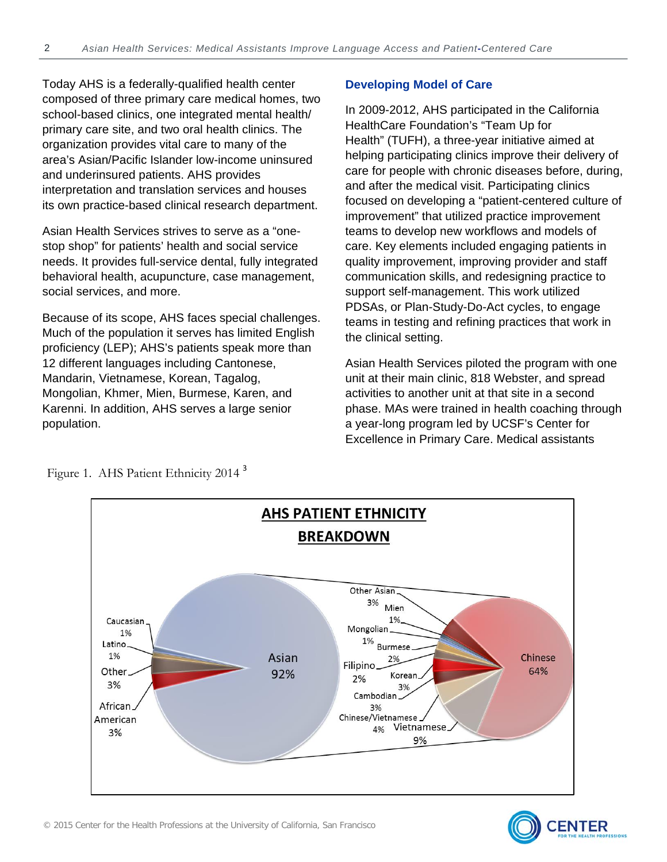Today AHS is a federally-qualified health center composed of three primary care medical homes, two school-based clinics, one integrated mental health/ primary care site, and two oral health clinics. The organization provides vital care to many of the area's Asian/Pacific Islander low-income uninsured and underinsured patients. AHS provides interpretation and translation services and houses its own practice-based clinical research department.

Asian Health Services strives to serve as a "onestop shop" for patients' health and social service needs. It provides full-service dental, fully integrated behavioral health, acupuncture, case management, social services, and more.

Because of its scope, AHS faces special challenges. Much of the population it serves has limited English proficiency (LEP); AHS's patients speak more than 12 different languages including Cantonese, Mandarin, Vietnamese, Korean, Tagalog, Mongolian, Khmer, Mien, Burmese, Karen, and Karenni. In addition, AHS serves a large senior population.

#### **Developing Model of Care**

In 2009-2012, AHS participated in the California HealthCare Foundation's "Team Up for Health" (TUFH), a three-year initiative aimed at helping participating clinics improve their delivery of care for people with chronic diseases before, during, and after the medical visit. Participating clinics focused on developing a "patient-centered culture of improvement" that utilized practice improvement teams to develop new workflows and models of care. Key elements included engaging patients in quality improvement, improving provider and staff communication skills, and redesigning practice to support self-management. This work utilized PDSAs, or Plan-Study-Do-Act cycles, to engage teams in testing and refining practices that work in the clinical setting.

Asian Health Services piloted the program with one unit at their main clinic, 818 Webster, and spread activities to another unit at that site in a second phase. MAs were trained in health coaching through a year-long program led by UCSF's Center for Excellence in Primary Care. Medical assistants



Figure 1. AHS Patient Ethnicity 2014<sup>3</sup>

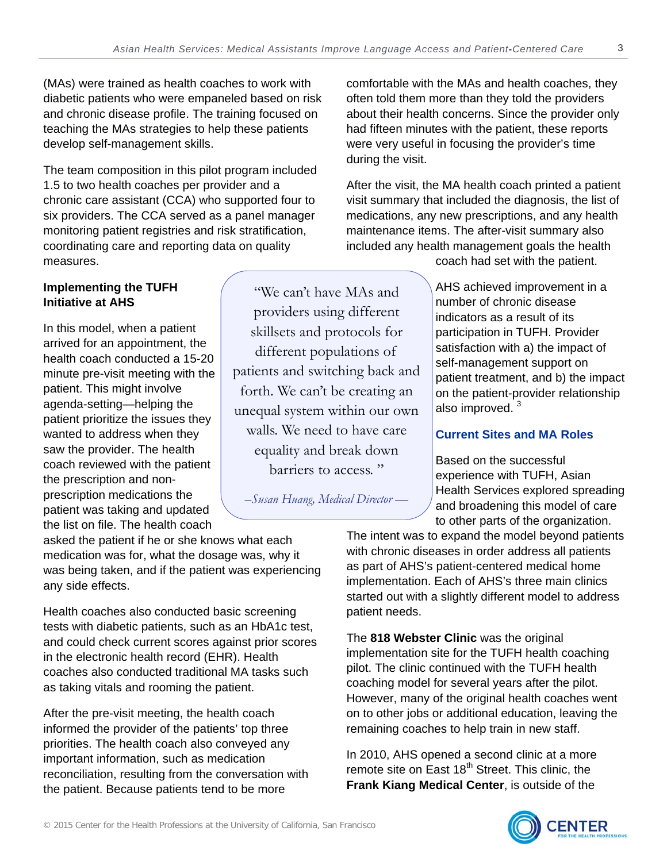(MAs) were trained as health coaches to work with diabetic patients who were empaneled based on risk and chronic disease profile. The training focused on teaching the MAs strategies to help these patients develop self-management skills.

The team composition in this pilot program included 1.5 to two health coaches per provider and a chronic care assistant (CCA) who supported four to six providers. The CCA served as a panel manager monitoring patient registries and risk stratification, coordinating care and reporting data on quality measures.

#### **Implementing the TUFH Initiative at AHS**

In this model, when a patient arrived for an appointment, the health coach conducted a 15-20 minute pre-visit meeting with the patient. This might involve agenda-setting—helping the patient prioritize the issues they wanted to address when they saw the provider. The health coach reviewed with the patient the prescription and nonprescription medications the patient was taking and updated the list on file. The health coach

"We can't have MAs and providers using different skillsets and protocols for different populations of patients and switching back and forth. We can't be creating an unequal system within our own walls. We need to have care equality and break down barriers to access. "

*–Susan Huang, Medical Director —* 

comfortable with the MAs and health coaches, they often told them more than they told the providers about their health concerns. Since the provider only had fifteen minutes with the patient, these reports were very useful in focusing the provider's time during the visit.

After the visit, the MA health coach printed a patient visit summary that included the diagnosis, the list of medications, any new prescriptions, and any health maintenance items. The after-visit summary also included any health management goals the health

coach had set with the patient.

AHS achieved improvement in a number of chronic disease indicators as a result of its participation in TUFH. Provider satisfaction with a) the impact of self-management support on patient treatment, and b) the impact on the patient-provider relationship also improved.<sup>3</sup>

#### **Current Sites and MA Roles**

Based on the successful experience with TUFH, Asian Health Services explored spreading and broadening this model of care to other parts of the organization.

asked the patient if he or she knows what each medication was for, what the dosage was, why it was being taken, and if the patient was experiencing any side effects.

Health coaches also conducted basic screening tests with diabetic patients, such as an HbA1c test, and could check current scores against prior scores in the electronic health record (EHR). Health coaches also conducted traditional MA tasks such as taking vitals and rooming the patient.

After the pre-visit meeting, the health coach informed the provider of the patients' top three priorities. The health coach also conveyed any important information, such as medication reconciliation, resulting from the conversation with the patient. Because patients tend to be more

The intent was to expand the model beyond patients with chronic diseases in order address all patients as part of AHS's patient-centered medical home implementation. Each of AHS's three main clinics started out with a slightly different model to address patient needs.

The **818 Webster Clinic** was the original implementation site for the TUFH health coaching pilot. The clinic continued with the TUFH health coaching model for several years after the pilot. However, many of the original health coaches went on to other jobs or additional education, leaving the remaining coaches to help train in new staff.

In 2010, AHS opened a second clinic at a more remote site on East 18<sup>th</sup> Street. This clinic, the **Frank Kiang Medical Center**, is outside of the

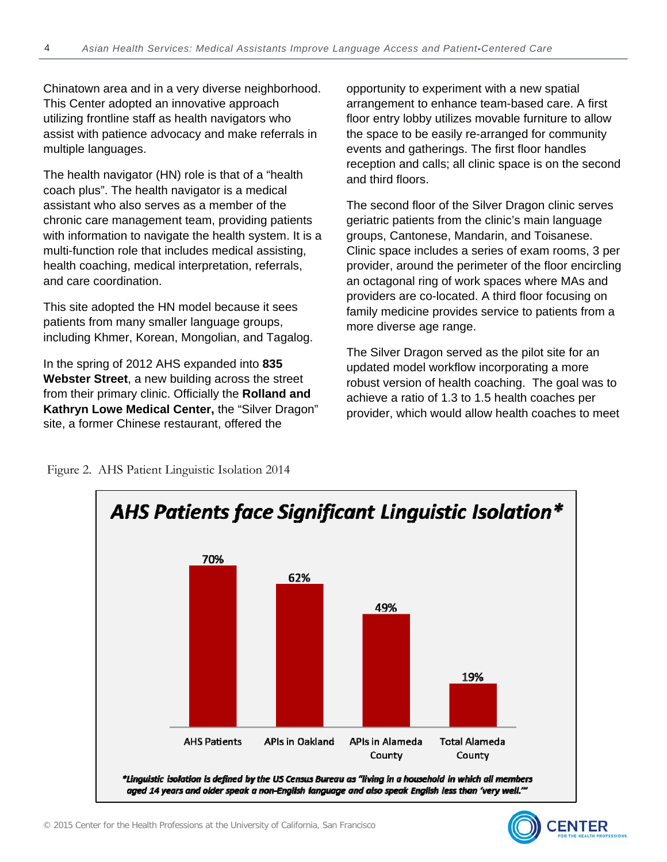Chinatown area and in a very diverse neighborhood. This Center adopted an innovative approach utilizing frontline staff as health navigators who assist with patience advocacy and make referrals in multiple languages.

The health navigator (HN) role is that of a "health coach plus". The health navigator is a medical assistant who also serves as a member of the chronic care management team, providing patients with information to navigate the health system. It is a multi-function role that includes medical assisting, health coaching, medical interpretation, referrals, and care coordination.

This site adopted the HN model because it sees patients from many smaller language groups, including Khmer, Korean, Mongolian, and Tagalog.

In the spring of 2012 AHS expanded into **835 Webster Street**, a new building across the street from their primary clinic. Officially the **Rolland and Kathryn Lowe Medical Center,** the "Silver Dragon" site, a former Chinese restaurant, offered the

opportunity to experiment with a new spatial arrangement to enhance team-based care. A first floor entry lobby utilizes movable furniture to allow the space to be easily re-arranged for community events and gatherings. The first floor handles reception and calls; all clinic space is on the second and third floors.

The second floor of the Silver Dragon clinic serves geriatric patients from the clinic's main language groups, Cantonese, Mandarin, and Toisanese. Clinic space includes a series of exam rooms, 3 per provider, around the perimeter of the floor encircling an octagonal ring of work spaces where MAs and providers are co-located. A third floor focusing on family medicine provides service to patients from a more diverse age range.

The Silver Dragon served as the pilot site for an updated model workflow incorporating a more robust version of health coaching. The goal was to achieve a ratio of 1.3 to 1.5 health coaches per provider, which would allow health coaches to meet

Figure 2. AHS Patient Linguistic Isolation 2014



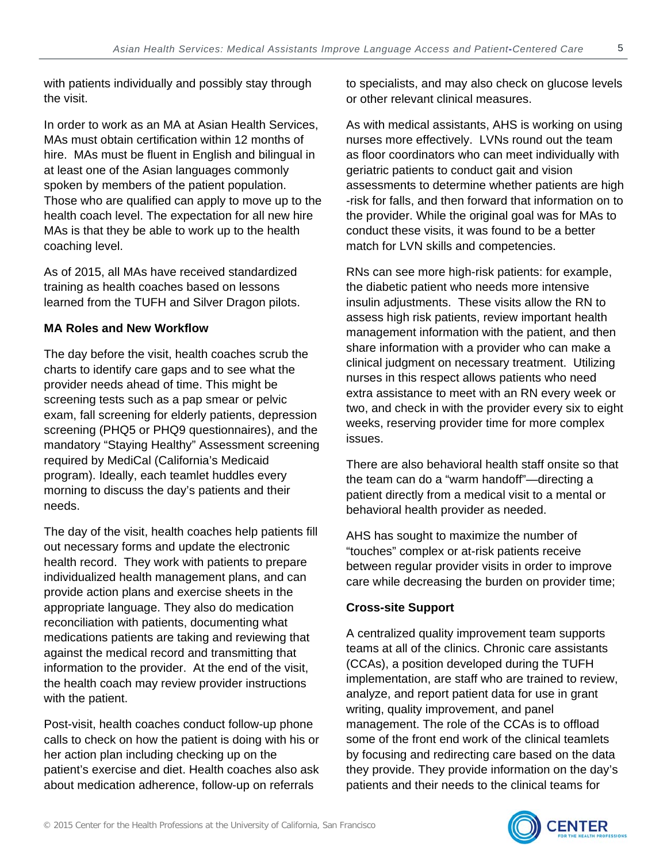with patients individually and possibly stay through the visit.

In order to work as an MA at Asian Health Services, MAs must obtain certification within 12 months of hire. MAs must be fluent in English and bilingual in at least one of the Asian languages commonly spoken by members of the patient population. Those who are qualified can apply to move up to the health coach level. The expectation for all new hire MAs is that they be able to work up to the health coaching level.

As of 2015, all MAs have received standardized training as health coaches based on lessons learned from the TUFH and Silver Dragon pilots.

#### **MA Roles and New Workflow**

The day before the visit, health coaches scrub the charts to identify care gaps and to see what the provider needs ahead of time. This might be screening tests such as a pap smear or pelvic exam, fall screening for elderly patients, depression screening (PHQ5 or PHQ9 questionnaires), and the mandatory "Staying Healthy" Assessment screening required by MediCal (California's Medicaid program). Ideally, each teamlet huddles every morning to discuss the day's patients and their needs.

The day of the visit, health coaches help patients fill out necessary forms and update the electronic health record. They work with patients to prepare individualized health management plans, and can provide action plans and exercise sheets in the appropriate language. They also do medication reconciliation with patients, documenting what medications patients are taking and reviewing that against the medical record and transmitting that information to the provider. At the end of the visit, the health coach may review provider instructions with the patient.

Post-visit, health coaches conduct follow-up phone calls to check on how the patient is doing with his or her action plan including checking up on the patient's exercise and diet. Health coaches also ask about medication adherence, follow-up on referrals

to specialists, and may also check on glucose levels or other relevant clinical measures.

As with medical assistants, AHS is working on using nurses more effectively. LVNs round out the team as floor coordinators who can meet individually with geriatric patients to conduct gait and vision assessments to determine whether patients are high -risk for falls, and then forward that information on to the provider. While the original goal was for MAs to conduct these visits, it was found to be a better match for LVN skills and competencies.

RNs can see more high-risk patients: for example, the diabetic patient who needs more intensive insulin adjustments. These visits allow the RN to assess high risk patients, review important health management information with the patient, and then share information with a provider who can make a clinical judgment on necessary treatment. Utilizing nurses in this respect allows patients who need extra assistance to meet with an RN every week or two, and check in with the provider every six to eight weeks, reserving provider time for more complex issues.

There are also behavioral health staff onsite so that the team can do a "warm handoff"—directing a patient directly from a medical visit to a mental or behavioral health provider as needed.

AHS has sought to maximize the number of "touches" complex or at-risk patients receive between regular provider visits in order to improve care while decreasing the burden on provider time;

#### **Cross-site Support**

A centralized quality improvement team supports teams at all of the clinics. Chronic care assistants (CCAs), a position developed during the TUFH implementation, are staff who are trained to review, analyze, and report patient data for use in grant writing, quality improvement, and panel management. The role of the CCAs is to offload some of the front end work of the clinical teamlets by focusing and redirecting care based on the data they provide. They provide information on the day's patients and their needs to the clinical teams for

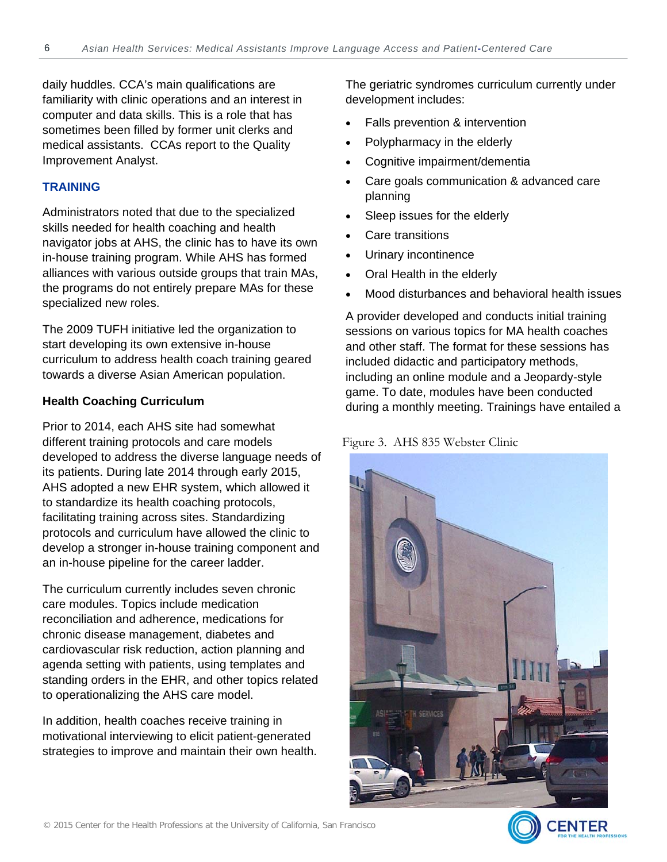daily huddles. CCA's main qualifications are familiarity with clinic operations and an interest in computer and data skills. This is a role that has sometimes been filled by former unit clerks and medical assistants. CCAs report to the Quality Improvement Analyst.

#### **TRAINING**

Administrators noted that due to the specialized skills needed for health coaching and health navigator jobs at AHS, the clinic has to have its own in-house training program. While AHS has formed alliances with various outside groups that train MAs, the programs do not entirely prepare MAs for these specialized new roles.

The 2009 TUFH initiative led the organization to start developing its own extensive in-house curriculum to address health coach training geared towards a diverse Asian American population.

#### **Health Coaching Curriculum**

Prior to 2014, each AHS site had somewhat different training protocols and care models developed to address the diverse language needs of its patients. During late 2014 through early 2015, AHS adopted a new EHR system, which allowed it to standardize its health coaching protocols, facilitating training across sites. Standardizing protocols and curriculum have allowed the clinic to develop a stronger in-house training component and an in-house pipeline for the career ladder.

The curriculum currently includes seven chronic care modules. Topics include medication reconciliation and adherence, medications for chronic disease management, diabetes and cardiovascular risk reduction, action planning and agenda setting with patients, using templates and standing orders in the EHR, and other topics related to operationalizing the AHS care model.

In addition, health coaches receive training in motivational interviewing to elicit patient-generated strategies to improve and maintain their own health. The geriatric syndromes curriculum currently under development includes:

- Falls prevention & intervention
- Polypharmacy in the elderly
- Cognitive impairment/dementia
- Care goals communication & advanced care planning
- Sleep issues for the elderly
- Care transitions
- Urinary incontinence
- Oral Health in the elderly
- Mood disturbances and behavioral health issues

A provider developed and conducts initial training sessions on various topics for MA health coaches and other staff. The format for these sessions has included didactic and participatory methods, including an online module and a Jeopardy-style game. To date, modules have been conducted during a monthly meeting. Trainings have entailed a

#### Figure 3. AHS 835 Webster Clinic

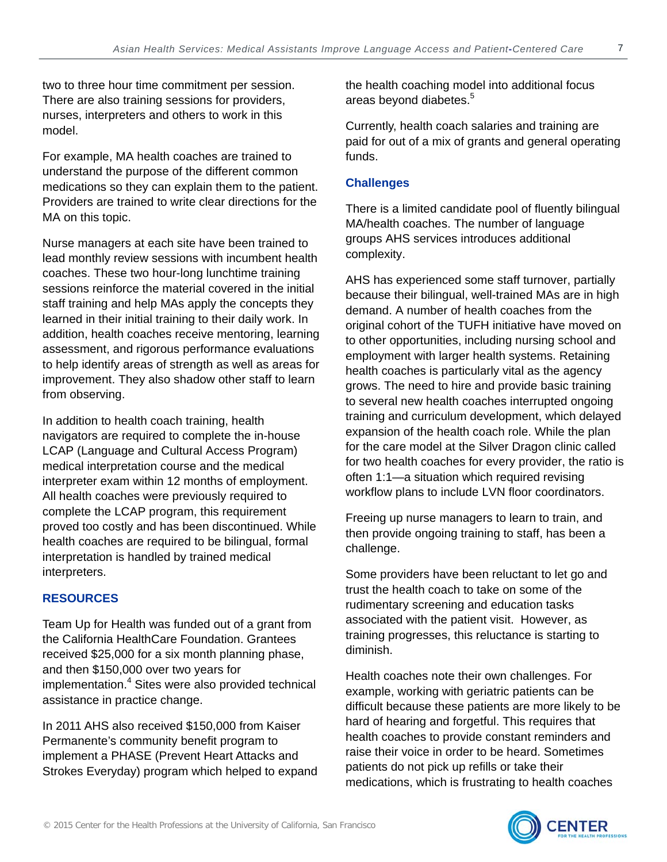two to three hour time commitment per session. There are also training sessions for providers, nurses, interpreters and others to work in this model.

For example, MA health coaches are trained to understand the purpose of the different common medications so they can explain them to the patient. Providers are trained to write clear directions for the MA on this topic.

Nurse managers at each site have been trained to lead monthly review sessions with incumbent health coaches. These two hour-long lunchtime training sessions reinforce the material covered in the initial staff training and help MAs apply the concepts they learned in their initial training to their daily work. In addition, health coaches receive mentoring, learning assessment, and rigorous performance evaluations to help identify areas of strength as well as areas for improvement. They also shadow other staff to learn from observing.

In addition to health coach training, health navigators are required to complete the in-house LCAP (Language and Cultural Access Program) medical interpretation course and the medical interpreter exam within 12 months of employment. All health coaches were previously required to complete the LCAP program, this requirement proved too costly and has been discontinued. While health coaches are required to be bilingual, formal interpretation is handled by trained medical interpreters.

#### **RESOURCES**

Team Up for Health was funded out of a grant from the California HealthCare Foundation. Grantees received \$25,000 for a six month planning phase, and then \$150,000 over two years for implementation.<sup>4</sup> Sites were also provided technical assistance in practice change.

In 2011 AHS also received \$150,000 from Kaiser Permanente's community benefit program to implement a PHASE (Prevent Heart Attacks and Strokes Everyday) program which helped to expand the health coaching model into additional focus areas beyond diabetes.<sup>5</sup>

Currently, health coach salaries and training are paid for out of a mix of grants and general operating funds.

#### **Challenges**

There is a limited candidate pool of fluently bilingual MA/health coaches. The number of language groups AHS services introduces additional complexity.

AHS has experienced some staff turnover, partially because their bilingual, well-trained MAs are in high demand. A number of health coaches from the original cohort of the TUFH initiative have moved on to other opportunities, including nursing school and employment with larger health systems. Retaining health coaches is particularly vital as the agency grows. The need to hire and provide basic training to several new health coaches interrupted ongoing training and curriculum development, which delayed expansion of the health coach role. While the plan for the care model at the Silver Dragon clinic called for two health coaches for every provider, the ratio is often 1:1—a situation which required revising workflow plans to include LVN floor coordinators.

Freeing up nurse managers to learn to train, and then provide ongoing training to staff, has been a challenge.

Some providers have been reluctant to let go and trust the health coach to take on some of the rudimentary screening and education tasks associated with the patient visit. However, as training progresses, this reluctance is starting to diminish.

Health coaches note their own challenges. For example, working with geriatric patients can be difficult because these patients are more likely to be hard of hearing and forgetful. This requires that health coaches to provide constant reminders and raise their voice in order to be heard. Sometimes patients do not pick up refills or take their medications, which is frustrating to health coaches

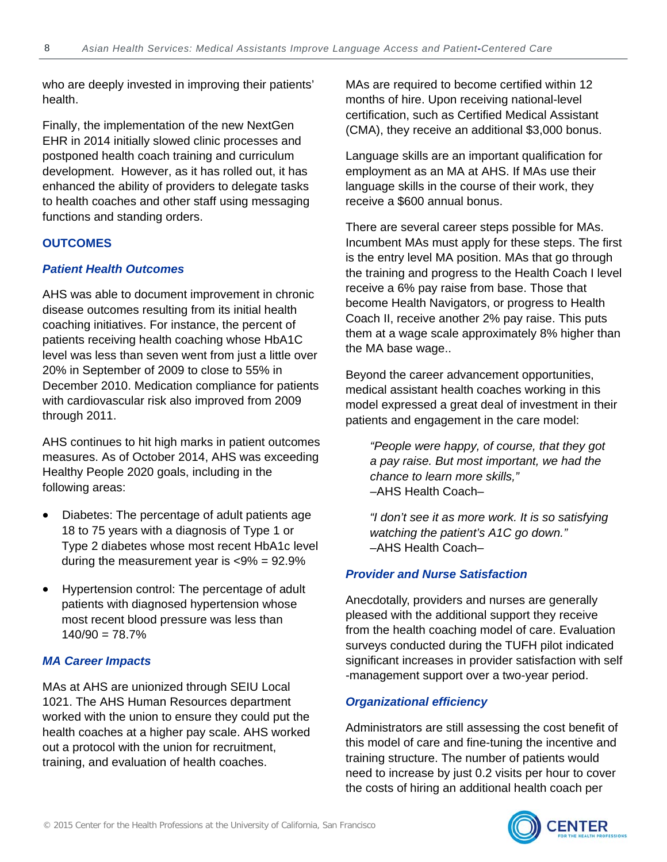who are deeply invested in improving their patients' health.

Finally, the implementation of the new NextGen EHR in 2014 initially slowed clinic processes and postponed health coach training and curriculum development. However, as it has rolled out, it has enhanced the ability of providers to delegate tasks to health coaches and other staff using messaging functions and standing orders.

#### **OUTCOMES**

#### *Patient Health Outcomes*

AHS was able to document improvement in chronic disease outcomes resulting from its initial health coaching initiatives. For instance, the percent of patients receiving health coaching whose HbA1C level was less than seven went from just a little over 20% in September of 2009 to close to 55% in December 2010. Medication compliance for patients with cardiovascular risk also improved from 2009 through 2011.

AHS continues to hit high marks in patient outcomes measures. As of October 2014, AHS was exceeding Healthy People 2020 goals, including in the following areas:

- Diabetes: The percentage of adult patients age 18 to 75 years with a diagnosis of Type 1 or Type 2 diabetes whose most recent HbA1c level during the measurement year is <9% = 92.9%
- Hypertension control: The percentage of adult patients with diagnosed hypertension whose most recent blood pressure was less than  $140/90 = 78.7%$

#### *MA Career Impacts*

MAs at AHS are unionized through SEIU Local 1021. The AHS Human Resources department worked with the union to ensure they could put the health coaches at a higher pay scale. AHS worked out a protocol with the union for recruitment, training, and evaluation of health coaches.

MAs are required to become certified within 12 months of hire. Upon receiving national-level certification, such as Certified Medical Assistant (CMA), they receive an additional \$3,000 bonus.

Language skills are an important qualification for employment as an MA at AHS. If MAs use their language skills in the course of their work, they receive a \$600 annual bonus.

There are several career steps possible for MAs. Incumbent MAs must apply for these steps. The first is the entry level MA position. MAs that go through the training and progress to the Health Coach I level receive a 6% pay raise from base. Those that become Health Navigators, or progress to Health Coach II, receive another 2% pay raise. This puts them at a wage scale approximately 8% higher than the MA base wage..

Beyond the career advancement opportunities, medical assistant health coaches working in this model expressed a great deal of investment in their patients and engagement in the care model:

*"People were happy, of course, that they got a pay raise. But most important, we had the chance to learn more skills,"* –AHS Health Coach–

*"I don't see it as more work. It is so satisfying watching the patient's A1C go down."*  –AHS Health Coach–

#### *Provider and Nurse Satisfaction*

Anecdotally, providers and nurses are generally pleased with the additional support they receive from the health coaching model of care. Evaluation surveys conducted during the TUFH pilot indicated significant increases in provider satisfaction with self -management support over a two-year period.

#### *Organizational efficiency*

Administrators are still assessing the cost benefit of this model of care and fine-tuning the incentive and training structure. The number of patients would need to increase by just 0.2 visits per hour to cover the costs of hiring an additional health coach per

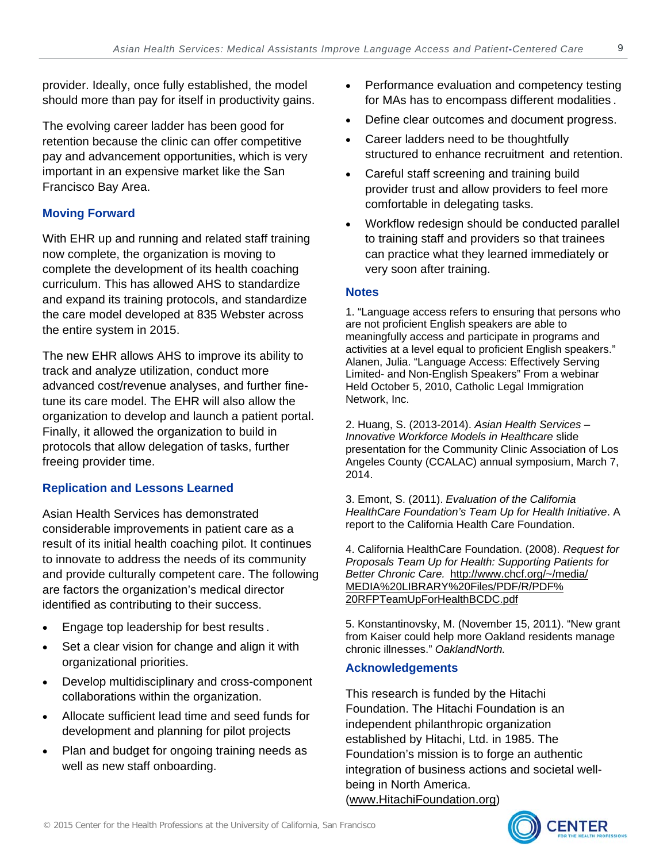provider. Ideally, once fully established, the model should more than pay for itself in productivity gains.

The evolving career ladder has been good for retention because the clinic can offer competitive pay and advancement opportunities, which is very important in an expensive market like the San Francisco Bay Area.

# **Moving Forward**

With EHR up and running and related staff training now complete, the organization is moving to complete the development of its health coaching curriculum. This has allowed AHS to standardize and expand its training protocols, and standardize the care model developed at 835 Webster across the entire system in 2015.

The new EHR allows AHS to improve its ability to track and analyze utilization, conduct more advanced cost/revenue analyses, and further finetune its care model. The EHR will also allow the organization to develop and launch a patient portal. Finally, it allowed the organization to build in protocols that allow delegation of tasks, further freeing provider time.

# **Replication and Lessons Learned**

Asian Health Services has demonstrated considerable improvements in patient care as a result of its initial health coaching pilot. It continues to innovate to address the needs of its community and provide culturally competent care. The following are factors the organization's medical director identified as contributing to their success.

- Engage top leadership for best results .
- Set a clear vision for change and align it with organizational priorities.
- Develop multidisciplinary and cross-component collaborations within the organization.
- Allocate sufficient lead time and seed funds for development and planning for pilot projects
- Plan and budget for ongoing training needs as well as new staff onboarding.
- Performance evaluation and competency testing for MAs has to encompass different modalities .
- Define clear outcomes and document progress.
- Career ladders need to be thoughtfully structured to enhance recruitment and retention.
- Careful staff screening and training build provider trust and allow providers to feel more comfortable in delegating tasks.
- Workflow redesign should be conducted parallel to training staff and providers so that trainees can practice what they learned immediately or very soon after training.

#### **Notes**

1. "Language access refers to ensuring that persons who are not proficient English speakers are able to meaningfully access and participate in programs and activities at a level equal to proficient English speakers." Alanen, Julia. "Language Access: Effectively Serving Limited- and Non-English Speakers" From a webinar Held October 5, 2010, Catholic Legal Immigration Network, Inc.

2. Huang, S. (2013-2014). *Asian Health Services – Innovative Workforce Models in Healthcare* slide presentation for the Community Clinic Association of Los Angeles County (CCALAC) annual symposium, March 7, 2014.

3. Emont, S. (2011). *Evaluation of the California HealthCare Foundation's Team Up for Health Initiative*. A report to the California Health Care Foundation.

4. California HealthCare Foundation. (2008). *Request for Proposals Team Up for Health: Supporting Patients for Better Chronic Care.* http://www.chcf.org/~/media/ MEDIA%20LIBRARY%20Files/PDF/R/PDF% 20RFPTeamUpForHealthBCDC.pdf

5. Konstantinovsky, M. (November 15, 2011). "New grant from Kaiser could help more Oakland residents manage chronic illnesses." *OaklandNorth.* 

#### **Acknowledgements**

This research is funded by the Hitachi Foundation. The Hitachi Foundation is an independent philanthropic organization established by Hitachi, Ltd. in 1985. The Foundation's mission is to forge an authentic integration of business actions and societal wellbeing in North America.

(www.HitachiFoundation.org)